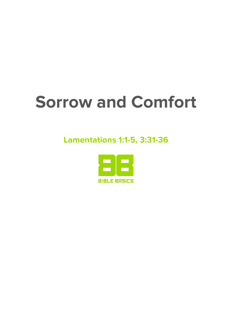# **Sorrow and Comfort**

### **Lamentations 1:1-5, 3:31-36**

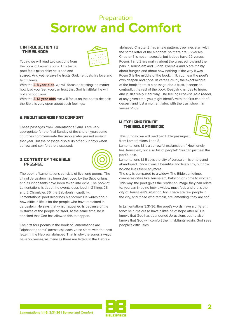### Preparation **Sorrow and Comfort**

### 1. INTRODUCTION TO THIS SUNDAY



Today, we will read two sections from the book of Lamentations. This text's poet feels miserable: he is sad and

scared. And yet he says he trusts God, he trusts his love and faithfulness.

With the **4-8 year-olds**, we will focus on trusting: no matter how bad you feel, you can trust that God is faithful; he will not abandon you.

With the **8-12 year-olds**, we will focus on the poet's despair: the Bible is very open about such feelings.

### 2. ABOUT SORROW AND COMFORT

These passages from Lamentations 1 and 3 are very appropriate for the final Sunday of the church year: some churches commemorate the people who passed away in that year. But the passage also suits other Sundays when sorrow and comfort are discussed.

### 3. CONTEXT OF THE BIBLE **PASSAGE**



The book of Lamentations consists of five long poems. The city of Jerusalem has been destroyed by the Babylonians, and its inhabitants have been taken into exile. The book of Lamentations is about the events described in 2 Kings 25 and 2 Chronicles 36: the Babylonian captivity. Lamentations' poet describes his sorrow. He writes about how difficult life is for the people who have remained in Jerusalem. He says that what happened is because of the mistakes of the people of Israel. At the same time, he is shocked that God has allowed this to happen.

The first four poems in the book of Lamentations are "alphabet poems" (acrostics): each verse starts with the next letter in the Hebrew alphabet. That is why the songs always have 22 verses, as many as there are letters in the Hebrew

alphabet. Chapter 3 has a new pattern: tree lines start with the same letter of the alphabet, so there are 66 verses. Chapter 5 is not an acrostic, but it does have 22 verses. Poems 1 and 2 are mainly about the great sorrow and the pain in Jerusalem and Judah. Poems 4 and 5 are mainly about hunger, and about how nothing is the way it was. Poem 3 is the middle of the book. In it, you hear the poet's own despair and hope. In verses 21-39, the exact middle of the book, there is a passage about trust. It seems to contradict the rest of the book. Despair changes to hope, and it isn't really clear why. The feelings coexist. As a reader, at any given time, you might identify with the first chapters' despair, and just a moment later, with the trust shown in verses 21-39.

### 4. EXPLANATION OF THE BIBLE PASSAGE



This Sunday, we will read two Bible passages: from Lamentations 1 and 3.

Lamentations 1:1 is a sorrowful exclamation: "How lonely lies Jerusalem, once so full of people!" You can just feel the poet's pain.

Lamentations 1:1-5 says the city of Jerusalem is empty and abandoned. Once it was a beautiful and lively city, but now no-one lives there anymore.

The city is compared to a widow. The Bible sometimes compares cities like Jerusalem, Babylon or Rome to women. This way, the poet gives the reader an image they can relate to: you can imagine how a widow must feel, and that's the city of Jerusalem's situation, too. There are few people in the city, and those who remain, are lamenting; they are sad.

In Lamentations 3:31-36, the poet's words have a different tone: he turns out to have a little bit of hope after all. He knows that God has abandoned Jerusalem, but he also knows that God will comfort the inhabitants again. God sees people's difficulties.

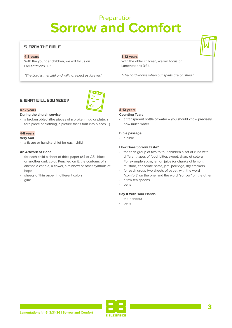## Preparation **Sorrow and Comfort**

### 5. FROM THE BIBLE

### **4-8 years**

With the younger children, we will focus on Lamentations 3:31.

*"The Lord is merciful and will not reject us forever."*

### **8-12 years**

With the older children, we will focus on Lamentations 3:34.

*"The Lord knows when our spirits are crushed."*

### 6. WHAT WILL YOU NEED?



### **4-12 years**

### **During the church service**

- a broken object (the pieces of a broken mug or plate, a torn piece of clothing, a picture that's torn into pieces …)

### **4-8 years**

### **Very Sad**

- a tissue or handkerchief for each child

### **An Artwork of Hope**

- for each child a sheet of thick paper (A4 or A5), black or another dark color. Penciled on it, the contours of an anchor, a candle, a flower, a rainbow or other symbols of hope
- sheets of thin paper in different colors
- glue

### **8-12 years Counting Tears**

- a transparent bottle of water – you should know precisely how much water

#### **Bible passage**

- a bible

#### **How Does Sorrow Taste?**

- for each group of two to four children a set of cups with different types of food: bitter, sweet, sharp et cetera. For example sugar, lemon juice (or chunks of lemon), mustard, chocolate paste, jam, porridge, dry crackers…
- for each group two sheets of paper, with the word "comfort" on the one, and the word "sorrow" on the other
- a few tea spoons
- pens

### **Say It With Your Hands**

- the handout
- pens

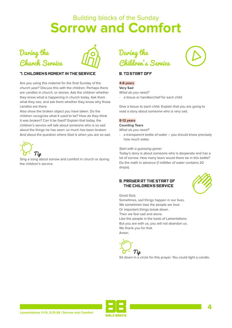



### **7. CHILDRENS MOMENT IN THE SERVICE**

Are you using this material for the final Sunday of the church year? Discuss this with the children. Perhaps there are candles in church, or stones. Ask the children whether they know what is happening in church today. Ask them what they see, and ask them whether they know why those candles are there.

Also show the broken object you have taken. Do the children recognize what it used to be? How do they think it was broken? Can it be fixed? Explain that today, the children's service will talk about someone who is so sad about the things he has seen: so much has been broken. And about the question where God is when you are so sad.



Sing a song about sorrow and comfort in church or during the children's service.



### 8. TO START OFF

### **4-8 years**

### **Very Sad**

*What do you need?*

- a tissue or handkerchief for each child

Give a tissue to each child. Explain that you are going to read a story about someone who is very sad.

#### **8-12 years**

### **Counting Tears**

*What do you need?*

a transparent bottle of water – you should know precisely how much water.

#### *Start with a guessing game:*

Today's story is about someone who is desperate and has a lot of sorrow. How many tears would there be in this bottle? Do the math in advance (1 milliliter of water contains 20 drops).

### **9. PRAYER AT THE START OF** THE CHILDRENS SERVICE



Good God,

Sometimes, sad things happen in our lives. We sometimes lose the people we love. Or important things break down. Then we feel sad and alone. Like the people in the book of Lamentations. But you are with us, you will not abandon us. We thank you for that. Amen.





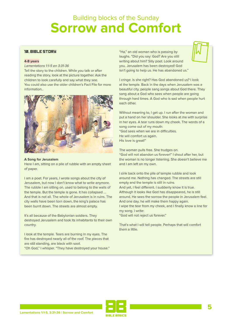### 10. BIBLE STORY

### **4-8 years**

Lamentations 1:1-5 en 3:31-36

Tell the story to the children. While you talk or after reading the story, look at the picture together. Ask the children to look carefully and say what they see. You could also use the older children's Fact File for more information..



#### **A Song for Jerusalem**

Here I am, sitting on a pile of rubble with an empty sheet of paper.

I am a poet. For years, I wrote songs about the city of Jerusalem, but now I don't know what to write anymore. The rubble I am sitting on, used to belong to the walls of the temple. But the temple is gone. It has collapsed … And that is not all. The whole of Jerusalem is in ruins. The city walls have been torn down, the king's palace has been burnt down. The streets are almost empty.

It's all because of the Babylonian soldiers. They destroyed Jerusalem and took its inhabitants to their own country.

I look at the temple. Tears are burning in my eyes. The fire has destroyed nearly all of the roof. The pieces that are still standing, are black with soot.

"Oh God," I whisper. "They have destroyed your house."

"Ha," an old woman who is passing by laughs. "Did you say: God? Are you still writing about him? Silly poet. Look around you. Jerusalem has been destroyed! God isn't going to help us. He has abandoned us."



I cringe. Is she right? Has God abandoned us? I look at the temple. Back in the days when Jerusalem was a beautiful city, people sang songs about God there. They sang about a God who sees when people are going through hard times. A God who is sad when people hurt each other.

Without meaning to, I get up. I run after the woman and put a hand on her shoulder. She looks at me with surprise in her eyes. A tear runs down my cheek. The words of a song come out of my mouth: "God sees when we are in difficulties. He will comfort us again. His love is great!"

The woman pulls free. She trudges on. "God will not abandon us forever!" I shout after her, but the woman is no longer listening. She doesn't believe me and I am left on my own.

I sink back onto the pile of temple rubble and look around me. Nothing has changed. The streets are still empty and the temple is still in ruins. And yet, I feel different. I suddenly know it is true. Although it looks like God has disappeared, he is still around. He sees the sorrow the people in Jerusalem feel. And one day, he will make them happy again. I wipe the tear from my cheek, and I finally know a line for my song. I write:

"God will not reject us forever."

That's what I will tell people. Perhaps that will comfort them a little.

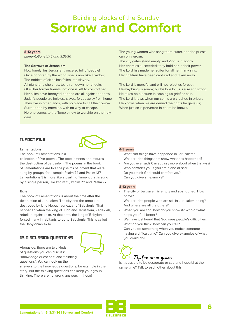### **8-12 years**

*Lamentations 1:1-5 and 3:31-36*

### **The Sorrows of Jerusalem**

How lonely lies Jerusalem, once so full of people! Once honored by the world, she is now like a widow; The noblest of cities has fallen into slavery. All night long she cries; tears run down her cheeks. Of all her former friends, not one is left to comfort her. Her allies have betrayed her and are all against her now. Judah's people are helpless slaves, forced away from home. They live in other lands, with no place to call their own— Surrounded by enemies, with no way to escape. No one comes to the Temple now to worship on the holy days.

The young women who sang there suffer, and the priests can only groan.

The city gates stand empty, and Zion is in agony. Her enemies succeeded; they hold her in their power. The Lord has made her suffer for all her many sins; Her children have been captured and taken away.

The Lord is merciful and will not reject us forever. He may bring us sorrow, but his love for us is sure and strong. He takes no pleasure in causing us grief or pain. The Lord knows when our spirits are crushed in prison; He knows when we are denied the rights he gave us; When justice is perverted in court, he knows.

### 11. FACT FILE

**Lamentations**



### The book of Lamentations is a

collection of five poems. The poet laments and mourns the destruction of Jerusalem. The poems in the book of Lamentations are like the psalms of lament that were sung by groups, for example Psalm 74 and Psalm 137. Lamentations 3 is more like a psalm of lament that is sung by a single person, like Psalm 13, Psalm 22 and Psalm 77.

### **Exile**

The book of Lamentations is about the time after the destruction of Jerusalem. The city and the temple are destroyed by king Nebuchadnezzar of Babylonia. That happened when the king of Juda and Jerusalem, Zedekiah, rebelled against him. At that time, the king of Babylonia forced many inhabitants to go to Babylonia. This is called the Babylonian exile.

### 12. DISCUSSION QUESTIONS



Alongside, there are two kinds of questions you can discuss: "knowledge questions" and "thinking questions". You can look up the

answers to the knowledge questions, for example in the story. But the thinking questions can keep your group thinking. There are no wrong answers in those!

#### **4-8 years**

- What sad things have happened in Jerusalem? What are the things that show what has happened?
- Are you ever sad? Can you say more about when that was?
- Who comforts you if you are alone or sad?
- Do you think God could comfort you? Can you give an example?

### **8-12 years**

- The city of Jerusalem is empty and abandoned. How come?
- What are the people who are still in Jerusalem doing? And where are all the others?
- When you are sad, how do you show it? Who or what helps you feel better?
- We have just heard that God sees people's difficulties. What do you think: how can you tell?
- Can you do something when you notice someone is having a difficult time? Can you give examples of what you could do?

# Tip for 10-12 years

Is it possible to be desperate or sad and hopeful at the same time? Talk to each other about this.



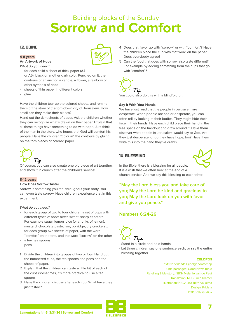### 13. DOING

### **4-8 years**

### **An Artwork of Hope**

*What do you need?*

- for each child a sheet of thick paper (A4 or A5), black or another dark color. Penciled on it, the contours of an anchor, a candle, a flower, a rainbow or other symbols of hope
- sheets of thin paper in different colors
- glue

Have the children tear up the colored sheets, and remind them of the story of the torn-down city of Jerusalem. How small can they make their pieces?

Hand out the dark sheets of paper. Ask the children whether they can recognize what's drawn on their paper. Explain that all these things have something to do with hope. Just think of the man in the story, who hopes that God will comfort his people. Have the children "color in" the contours by gluing on the torn pieces of colored paper.



Of course, you can also create one big piece of art together, and show it in church after the children's service!

### **8-12 years**

#### **How Does Sorrow Taste?**

Sorrow is something you feel throughout your body. You can even taste sorrow. Have children experience that in this experiment.

*What do you need?*

- for each group of two to four children a set of cups with different types of food: bitter, sweet, sharp et cetera. For example sugar, lemon juice (or chunks of lemon), mustard, chocolate paste, jam, porridge, dry crackers…
- for each group two sheets of paper, with the word "comfort" on the one, and the word "sorrow" on the other
- a few tea spoons
- pens
- 1 Divide the children into groups of two or four. Hand out the numbered cups, the tea spoons, the pens and the sheets of paper.
- 2 Explain that the children can taste a little bit of each of the cups (sometimes, it's more practical to use a tea spoon).
- 3 Have the children discuss after each cup. What have they just tasted?
- 4 Does that flavor go with "sorrow" or with "comfort"? Have the children place the cup with that word on the paper. Does everybody agree?
- 5 Can the food that goes with sorrow also taste different? For example by adding something from the cups that go with "comfort"?



You could also do this with a blindfold on.

### **Say It With Your Hands**

We have just read that the people in Jerusalem are desperate. When people are sad or desperate, you can often tell by looking at their bodies. They might hide their face in their hands. Have each child place their hand in the free space on the handout and draw around it. Have them discover what people in Jerusalem would say to God. Are they just desperate, or do they have hope, too? Have them write this into the hand they've drawn.

### 14. BLESSING



In the Bible, there is a blessing for all people. It is a wish that we often hear at the end of a church service. And we say this blessing to each other:

**"May the Lord bless you and take care of you; May the Lord be kind and gracious to you; May the Lord look on you with favor and give you peace."**

### **Numbers 6:24-26**



- Stand in a circle and hold hands.
- Let three children say one sentence each, or say the entire blessing together.

#### COLOFON

Text: Nederlands Bijbelgenootschap Bible passages: Good News Bible Retelling Bible story: NBG/ Melanie van de Peut Translation: NBG/Erica Kramer Illustration: NBG/ Liza-Beth Valkema Design: Frivista DTP: Villa Grafica

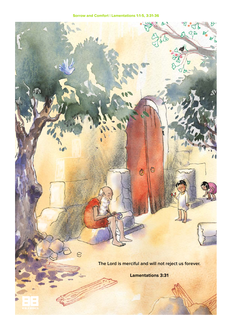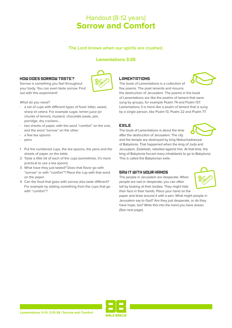### Handout (8-12 years) **Sorrow and Comfort**

### **The Lord knows when our spirits are crushed.**

### **Lamentations 3:35**

### HOW DOES SORROW TASTE?

Sorrow is something you feel throughout your body. You can even taste sorrow. Find out with this experiment!



*What do you need?*

- a set of cups with different types of food: bitter, sweet, sharp et cetera. For example sugar, lemon juice (or chunks of lemon), mustard, chocolate paste, jam, porridge, dry crackers…
- two sheets of paper, with the word "comfort" on the one, and the word "sorrow" on the other
- a few tea spoons
- pens
- 1 Put the numbered cups, the tea spoons, the pens and the sheets of paper on the table.
- 2 Taste a little bit of each of the cups (sometimes, it's more practical to use a tea spoon).
- 3 What have they just tasted? Does that flavor go with "sorrow" or with "comfort"? Place the cup with that word on the paper.
- 4 Can the food that goes with sorrow also taste different? For example by adding something from the cups that go with "comfort"?

### **LAMENTATIONS**

The book of Lamentations is a collection of five poems. The poet laments and mourns

the destruction of Jerusalem. The poems in the book of Lamentations are like the psalms of lament that were sung by groups, for example Psalm 74 and Psalm 137. Lamentations 3 is more like a psalm of lament that is sung by a single person, like Psalm 13, Psalm 22 and Psalm 77.

### EXILE

The book of Lamentations is about the time after the destruction of Jerusalem. The city



and the temple are destroyed by king Nebuchadnezzar of Babylonia. That happened when the king of Juda and Jerusalem, Zedekiah, rebelled against him. At that time, the king of Babylonia forced many inhabitants to go to Babylonia. This is called the Babylonian exile.

### SAY IT WITH YOUR HANDS

The people in Jerusalem are desperate. When people are sad or desperate, you can often tell by looking at their bodies. They might hide their face in their hands. Place your hand on the

paper and draw around it with a pen. What might people in Jerusalem say to God? Are they just desperate, or do they have hope, too? Write this into the hand you have drawn. (See next page).